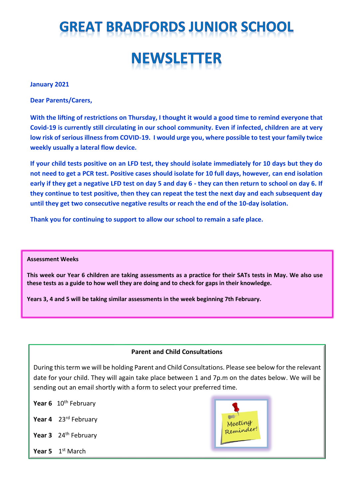# **GREAT BRADFORDS JUNIOR SCHOOL NEWSLETTER**

### **January 2021**

**Dear Parents/Carers,**

**With the lifting of restrictions on Thursday, I thought it would a good time to remind everyone that Covid-19 is currently still circulating in our school community. Even if infected, children are at very low risk of serious illness from COVID-19. I would urge you, where possible to test your family twice weekly usually a lateral flow device.**

**If your child tests positive on an LFD test, they should isolate immediately for 10 days but they do not need to get a PCR test. Positive cases should isolate for 10 full days, however, can end isolation early if they get a negative LFD test on day 5 and day 6 - they can then return to school on day 6. If they continue to test positive, then they can repeat the test the next day and each subsequent day until they get two consecutive negative results or reach the end of the 10-day isolation.** 

**Thank you for continuing to support to allow our school to remain a safe place.**

#### **Assessment Weeks**

**This week our Year 6 children are taking assessments as a practice for their SATs tests in May. We also use these tests as a guide to how well they are doing and to check for gaps in their knowledge.**

**Years 3, 4 and 5 will be taking similar assessments in the week beginning 7th February.**

### **Parent and Child Consultations**

During this term we will be holding Parent and Child Consultations. Please see below for the relevant date for your child. They will again take place between 1 and 7p.m on the dates below. We will be sending out an email shortly with a form to select your preferred time.

Year 6 10<sup>th</sup> February

**Year 4** 23rd February

Year 3 24<sup>th</sup> February

**Year 5** 1st March